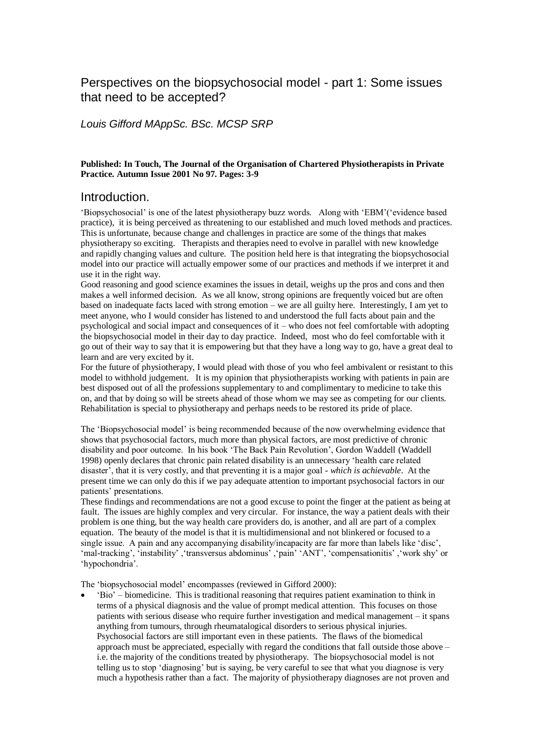# Perspectives on the biopsychosocial model - part 1: Some issues that need to be accepted?

# *Louis Gifford MAppSc. BSc. MCSP SRP*

# **Published: In Touch, The Journal of the Organisation of Chartered Physiotherapists in Private Practice. Autumn Issue 2001 No 97. Pages: 3-9**

# Introduction.

'Biopsychosocial' is one of the latest physiotherapy buzz words. Along with 'EBM'('evidence based practice), it is being perceived as threatening to our established and much loved methods and practices. This is unfortunate, because change and challenges in practice are some of the things that makes physiotherapy so exciting. Therapists and therapies need to evolve in parallel with new knowledge and rapidly changing values and culture. The position held here is that integrating the biopsychosocial model into our practice will actually empower some of our practices and methods if we interpret it and use it in the right way.

Good reasoning and good science examines the issues in detail, weighs up the pros and cons and then makes a well informed decision. As we all know, strong opinions are frequently voiced but are often based on inadequate facts laced with strong emotion – we are all guilty here. Interestingly, I am yet to meet anyone, who I would consider has listened to and understood the full facts about pain and the psychological and social impact and consequences of it – who does not feel comfortable with adopting the biopsychosocial model in their day to day practice. Indeed, most who do feel comfortable with it go out of their way to say that it is empowering but that they have a long way to go, have a great deal to learn and are very excited by it.

For the future of physiotherapy, I would plead with those of you who feel ambivalent or resistant to this model to withhold judgement. It is my opinion that physiotherapists working with patients in pain are best disposed out of all the professions supplementary to and complimentary to medicine to take this on, and that by doing so will be streets ahead of those whom we may see as competing for our clients. Rehabilitation is special to physiotherapy and perhaps needs to be restored its pride of place.

The 'Biopsychosocial model' is being recommended because of the now overwhelming evidence that shows that psychosocial factors, much more than physical factors, are most predictive of chronic disability and poor outcome. In his book 'The Back Pain Revolution', Gordon Waddell (Waddell 1998) openly declares that chronic pain related disability is an unnecessary 'health care related disaster', that it is very costly, and that preventing it is a major goal - *which is achievable*. At the present time we can only do this if we pay adequate attention to important psychosocial factors in our patients' presentations.

These findings and recommendations are not a good excuse to point the finger at the patient as being at fault. The issues are highly complex and very circular. For instance, the way a patient deals with their problem is one thing, but the way health care providers do, is another, and all are part of a complex equation. The beauty of the model is that it is multidimensional and not blinkered or focused to a single issue. A pain and any accompanying disability/incapacity are far more than labels like 'disc', 'mal-tracking', 'instability' ,'transversus abdominus' ,'pain' 'ANT', 'compensationitis' ,'work shy' or 'hypochondria'.

The 'biopsychosocial model' encompasses (reviewed in Gifford 2000):

 'Bio' – biomedicine. This is traditional reasoning that requires patient examination to think in terms of a physical diagnosis and the value of prompt medical attention. This focuses on those patients with serious disease who require further investigation and medical management – it spans anything from tumours, through rheumatalogical disorders to serious physical injuries. Psychosocial factors are still important even in these patients. The flaws of the biomedical approach must be appreciated, especially with regard the conditions that fall outside those above – i.e. the majority of the conditions treated by physiotherapy. The biopsychosocial model is not telling us to stop 'diagnosing' but is saying, be very careful to see that what you diagnose is very much a hypothesis rather than a fact. The majority of physiotherapy diagnoses are not proven and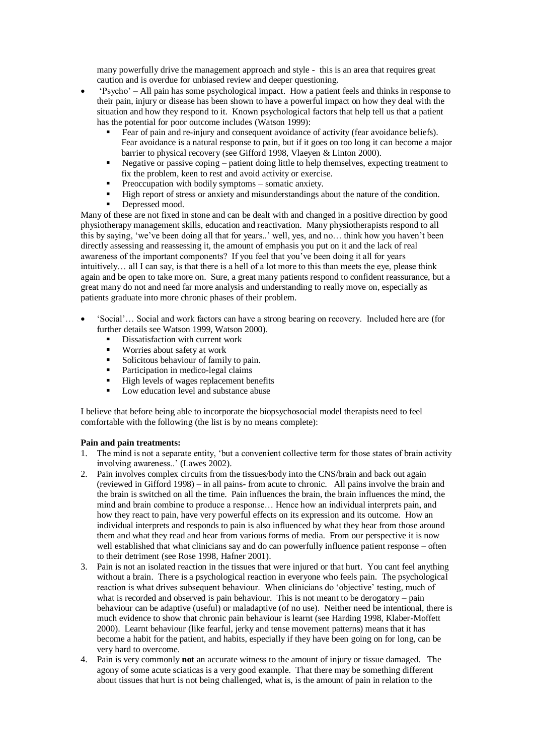many powerfully drive the management approach and style - this is an area that requires great caution and is overdue for unbiased review and deeper questioning.

- 'Psycho' All pain has some psychological impact. How a patient feels and thinks in response to their pain, injury or disease has been shown to have a powerful impact on how they deal with the situation and how they respond to it. Known psychological factors that help tell us that a patient has the potential for poor outcome includes (Watson 1999):
	- Fear of pain and re-injury and consequent avoidance of activity (fear avoidance beliefs). Fear avoidance is a natural response to pain, but if it goes on too long it can become a major barrier to physical recovery (see Gifford 1998, Vlaeyen & Linton 2000).
	- Negative or passive coping patient doing little to help themselves, expecting treatment to fix the problem, keen to rest and avoid activity or exercise.
	- Preoccupation with bodily symptoms somatic anxiety.
	- High report of stress or anxiety and misunderstandings about the nature of the condition.
	- Depressed mood.

Many of these are not fixed in stone and can be dealt with and changed in a positive direction by good physiotherapy management skills, education and reactivation. Many physiotherapists respond to all this by saying, 'we've been doing all that for years..' well, yes, and no… think how you haven't been directly assessing and reassessing it, the amount of emphasis you put on it and the lack of real awareness of the important components? If you feel that you've been doing it all for years intuitively… all I can say, is that there is a hell of a lot more to this than meets the eye, please think again and be open to take more on. Sure, a great many patients respond to confident reassurance, but a great many do not and need far more analysis and understanding to really move on, especially as patients graduate into more chronic phases of their problem.

- 'Social'… Social and work factors can have a strong bearing on recovery. Included here are (for further details see Watson 1999, Watson 2000).
	- $\blacksquare$  Dissatisfaction with current work
	- Worries about safety at work
	- Solicitous behaviour of family to pain.
	- Participation in medico-legal claims
	- High levels of wages replacement benefits
	- Low education level and substance abuse

I believe that before being able to incorporate the biopsychosocial model therapists need to feel comfortable with the following (the list is by no means complete):

### **Pain and pain treatments:**

- 1. The mind is not a separate entity, 'but a convenient collective term for those states of brain activity involving awareness..' (Lawes 2002).
- 2. Pain involves complex circuits from the tissues/body into the CNS/brain and back out again (reviewed in Gifford 1998) – in all pains- from acute to chronic. All pains involve the brain and the brain is switched on all the time. Pain influences the brain, the brain influences the mind, the mind and brain combine to produce a response… Hence how an individual interprets pain, and how they react to pain, have very powerful effects on its expression and its outcome. How an individual interprets and responds to pain is also influenced by what they hear from those around them and what they read and hear from various forms of media. From our perspective it is now well established that what clinicians say and do can powerfully influence patient response – often to their detriment (see Rose 1998, Hafner 2001).
- 3. Pain is not an isolated reaction in the tissues that were injured or that hurt. You cant feel anything without a brain. There is a psychological reaction in everyone who feels pain. The psychological reaction is what drives subsequent behaviour. When clinicians do 'objective' testing, much of what is recorded and observed is pain behaviour. This is not meant to be derogatory – pain behaviour can be adaptive (useful) or maladaptive (of no use). Neither need be intentional, there is much evidence to show that chronic pain behaviour is learnt (see Harding 1998, Klaber-Moffett 2000). Learnt behaviour (like fearful, jerky and tense movement patterns) means that it has become a habit for the patient, and habits, especially if they have been going on for long, can be very hard to overcome.
- 4. Pain is very commonly **not** an accurate witness to the amount of injury or tissue damaged. The agony of some acute sciaticas is a very good example. That there may be something different about tissues that hurt is not being challenged, what is, is the amount of pain in relation to the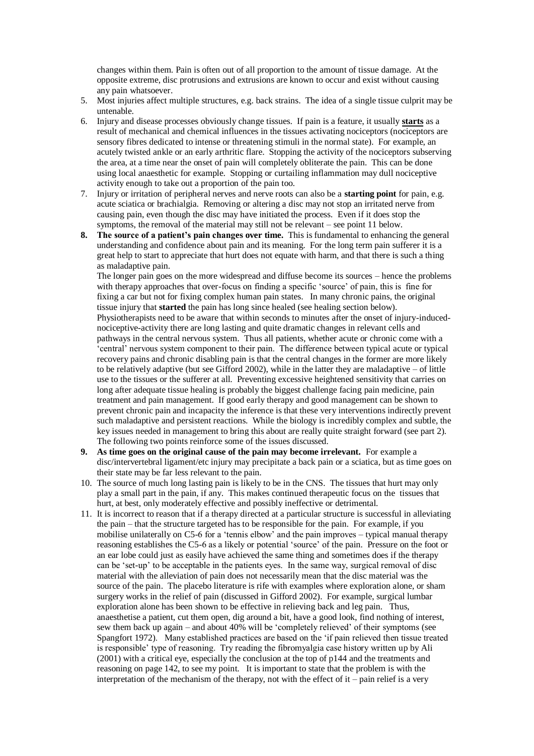changes within them. Pain is often out of all proportion to the amount of tissue damage. At the opposite extreme, disc protrusions and extrusions are known to occur and exist without causing any pain whatsoever.

- 5. Most injuries affect multiple structures, e.g. back strains. The idea of a single tissue culprit may be untenable.
- 6. Injury and disease processes obviously change tissues. If pain is a feature, it usually **starts** as a result of mechanical and chemical influences in the tissues activating nociceptors (nociceptors are sensory fibres dedicated to intense or threatening stimuli in the normal state). For example, an acutely twisted ankle or an early arthritic flare. Stopping the activity of the nociceptors subserving the area, at a time near the onset of pain will completely obliterate the pain. This can be done using local anaesthetic for example. Stopping or curtailing inflammation may dull nociceptive activity enough to take out a proportion of the pain too.
- 7. Injury or irritation of peripheral nerves and nerve roots can also be a **starting point** for pain, e.g. acute sciatica or brachialgia. Removing or altering a disc may not stop an irritated nerve from causing pain, even though the disc may have initiated the process. Even if it does stop the symptoms, the removal of the material may still not be relevant – see point 11 below.
- **8. The source of a patient's pain changes over time.** This is fundamental to enhancing the general understanding and confidence about pain and its meaning. For the long term pain sufferer it is a great help to start to appreciate that hurt does not equate with harm, and that there is such a thing as maladaptive pain.

The longer pain goes on the more widespread and diffuse become its sources – hence the problems with therapy approaches that over-focus on finding a specific 'source' of pain, this is fine for fixing a car but not for fixing complex human pain states. In many chronic pains, the original tissue injury that **started** the pain has long since healed (see healing section below). Physiotherapists need to be aware that within seconds to minutes after the onset of injury-inducednociceptive-activity there are long lasting and quite dramatic changes in relevant cells and pathways in the central nervous system. Thus all patients, whether acute or chronic come with a 'central' nervous system component to their pain. The difference between typical acute or typical recovery pains and chronic disabling pain is that the central changes in the former are more likely to be relatively adaptive (but see Gifford 2002), while in the latter they are maladaptive – of little use to the tissues or the sufferer at all. Preventing excessive heightened sensitivity that carries on long after adequate tissue healing is probably the biggest challenge facing pain medicine, pain treatment and pain management. If good early therapy and good management can be shown to prevent chronic pain and incapacity the inference is that these very interventions indirectly prevent such maladaptive and persistent reactions. While the biology is incredibly complex and subtle, the key issues needed in management to bring this about are really quite straight forward (see part 2). The following two points reinforce some of the issues discussed.

- **9. As time goes on the original cause of the pain may become irrelevant.** For example a disc/intervertebral ligament/etc injury may precipitate a back pain or a sciatica, but as time goes on their state may be far less relevant to the pain.
- 10. The source of much long lasting pain is likely to be in the CNS. The tissues that hurt may only play a small part in the pain, if any. This makes continued therapeutic focus on the tissues that hurt, at best, only moderately effective and possibly ineffective or detrimental.
- 11. It is incorrect to reason that if a therapy directed at a particular structure is successful in alleviating the pain – that the structure targeted has to be responsible for the pain. For example, if you mobilise unilaterally on C5-6 for a 'tennis elbow' and the pain improves – typical manual therapy reasoning establishes the C5-6 as a likely or potential 'source' of the pain. Pressure on the foot or an ear lobe could just as easily have achieved the same thing and sometimes does if the therapy can be 'set-up' to be acceptable in the patients eyes. In the same way, surgical removal of disc material with the alleviation of pain does not necessarily mean that the disc material was the source of the pain. The placebo literature is rife with examples where exploration alone, or sham surgery works in the relief of pain (discussed in Gifford 2002). For example, surgical lumbar exploration alone has been shown to be effective in relieving back and leg pain. Thus, anaesthetise a patient, cut them open, dig around a bit, have a good look, find nothing of interest, sew them back up again – and about 40% will be 'completely relieved' of their symptoms (see Spangfort 1972). Many established practices are based on the 'if pain relieved then tissue treated is responsible' type of reasoning. Try reading the fibromyalgia case history written up by Ali (2001) with a critical eye, especially the conclusion at the top of p144 and the treatments and reasoning on page 142, to see my point. It is important to state that the problem is with the interpretation of the mechanism of the therapy, not with the effect of it – pain relief is a very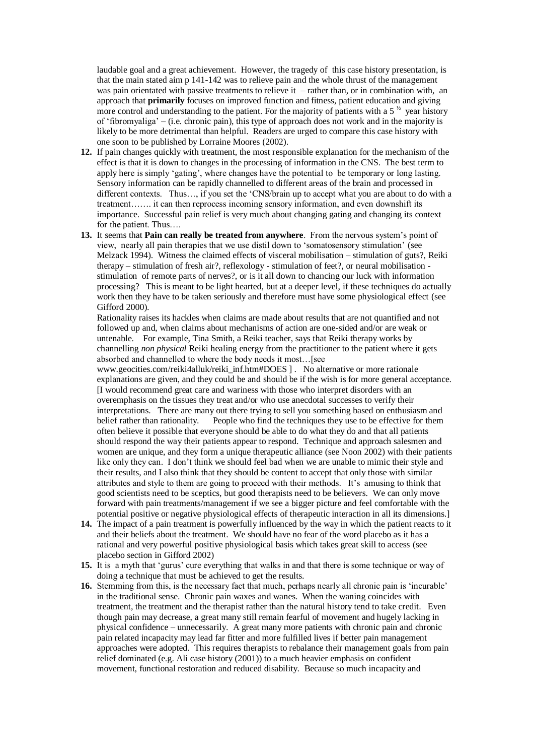laudable goal and a great achievement. However, the tragedy of this case history presentation, is that the main stated aim p 141-142 was to relieve pain and the whole thrust of the management was pain orientated with passive treatments to relieve it – rather than, or in combination with, an approach that **primarily** focuses on improved function and fitness, patient education and giving more control and understanding to the patient. For the majority of patients with a  $5^{\frac{1}{2}}$  year history of 'fibromyaliga' – (i.e. chronic pain), this type of approach does not work and in the majority is likely to be more detrimental than helpful. Readers are urged to compare this case history with one soon to be published by Lorraine Moores (2002).

- **12.** If pain changes quickly with treatment, the most responsible explanation for the mechanism of the effect is that it is down to changes in the processing of information in the CNS. The best term to apply here is simply 'gating', where changes have the potential to be temporary or long lasting. Sensory information can be rapidly channelled to different areas of the brain and processed in different contexts. Thus…, if you set the 'CNS/brain up to accept what you are about to do with a treatment……. it can then reprocess incoming sensory information, and even downshift its importance. Successful pain relief is very much about changing gating and changing its context for the patient. Thus….
- **13.** It seems that **Pain can really be treated from anywhere**. From the nervous system's point of view, nearly all pain therapies that we use distil down to 'somatosensory stimulation' (see Melzack 1994). Witness the claimed effects of visceral mobilisation – stimulation of guts?, Reiki therapy – stimulation of fresh air?, reflexology - stimulation of feet?, or neural mobilisation stimulation of remote parts of nerves?, or is it all down to chancing our luck with information processing? This is meant to be light hearted, but at a deeper level, if these techniques do actually work then they have to be taken seriously and therefore must have some physiological effect (see Gifford 2000).

Rationality raises its hackles when claims are made about results that are not quantified and not followed up and, when claims about mechanisms of action are one-sided and/or are weak or untenable. For example, Tina Smith, a Reiki teacher, says that Reiki therapy works by channelling *non physical* Reiki healing energy from the practitioner to the patient where it gets absorbed and channelled to where the body needs it most…[see

www.geocities.com/reiki4alluk/reiki\_inf.htm#DOES ] . No alternative or more rationale explanations are given, and they could be and should be if the wish is for more general acceptance. [I would recommend great care and wariness with those who interpret disorders with an overemphasis on the tissues they treat and/or who use anecdotal successes to verify their interpretations. There are many out there trying to sell you something based on enthusiasm and belief rather than rationality. People who find the techniques they use to be effective for them often believe it possible that everyone should be able to do what they do and that all patients should respond the way their patients appear to respond. Technique and approach salesmen and women are unique, and they form a unique therapeutic alliance (see Noon 2002) with their patients like only they can. I don't think we should feel bad when we are unable to mimic their style and their results, and I also think that they should be content to accept that only those with similar attributes and style to them are going to proceed with their methods. It's amusing to think that good scientists need to be sceptics, but good therapists need to be believers. We can only move forward with pain treatments/management if we see a bigger picture and feel comfortable with the potential positive or negative physiological effects of therapeutic interaction in all its dimensions.]

- **14.** The impact of a pain treatment is powerfully influenced by the way in which the patient reacts to it and their beliefs about the treatment. We should have no fear of the word placebo as it has a rational and very powerful positive physiological basis which takes great skill to access (see placebo section in Gifford 2002)
- **15.** It is a myth that 'gurus' cure everything that walks in and that there is some technique or way of doing a technique that must be achieved to get the results.
- **16.** Stemming from this, is the necessary fact that much, perhaps nearly all chronic pain is 'incurable' in the traditional sense. Chronic pain waxes and wanes. When the waning coincides with treatment, the treatment and the therapist rather than the natural history tend to take credit. Even though pain may decrease, a great many still remain fearful of movement and hugely lacking in physical confidence – unnecessarily. A great many more patients with chronic pain and chronic pain related incapacity may lead far fitter and more fulfilled lives if better pain management approaches were adopted. This requires therapists to rebalance their management goals from pain relief dominated (e.g. Ali case history (2001)) to a much heavier emphasis on confident movement, functional restoration and reduced disability. Because so much incapacity and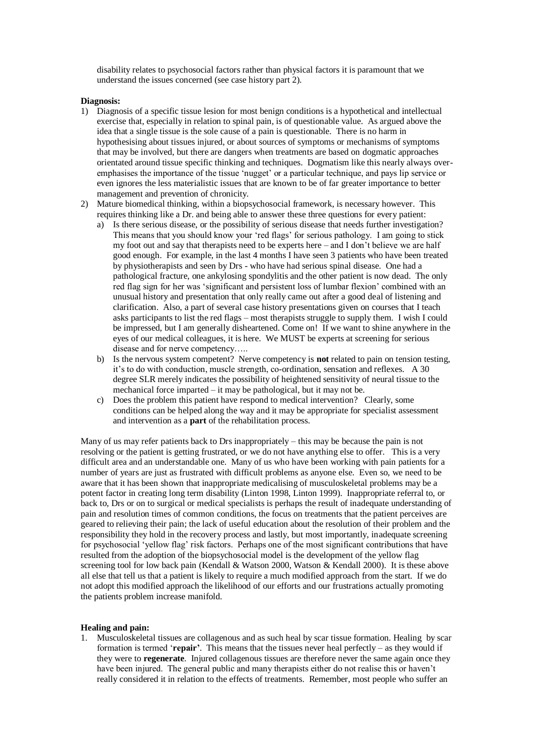disability relates to psychosocial factors rather than physical factors it is paramount that we understand the issues concerned (see case history part 2).

#### **Diagnosis:**

- 1) Diagnosis of a specific tissue lesion for most benign conditions is a hypothetical and intellectual exercise that, especially in relation to spinal pain, is of questionable value. As argued above the idea that a single tissue is the sole cause of a pain is questionable. There is no harm in hypothesising about tissues injured, or about sources of symptoms or mechanisms of symptoms that may be involved, but there are dangers when treatments are based on dogmatic approaches orientated around tissue specific thinking and techniques. Dogmatism like this nearly always overemphasises the importance of the tissue 'nugget' or a particular technique, and pays lip service or even ignores the less materialistic issues that are known to be of far greater importance to better management and prevention of chronicity.
- 2) Mature biomedical thinking, within a biopsychosocial framework, is necessary however. This requires thinking like a Dr. and being able to answer these three questions for every patient:
	- a) Is there serious disease, or the possibility of serious disease that needs further investigation? This means that you should know your 'red flags' for serious pathology. I am going to stick my foot out and say that therapists need to be experts here – and I don't believe we are half good enough. For example, in the last 4 months I have seen 3 patients who have been treated by physiotherapists and seen by Drs - who have had serious spinal disease. One had a pathological fracture, one ankylosing spondylitis and the other patient is now dead. The only red flag sign for her was 'significant and persistent loss of lumbar flexion' combined with an unusual history and presentation that only really came out after a good deal of listening and clarification. Also, a part of several case history presentations given on courses that I teach asks participants to list the red flags – most therapists struggle to supply them. I wish I could be impressed, but I am generally disheartened. Come on! If we want to shine anywhere in the eyes of our medical colleagues, it is here. We MUST be experts at screening for serious disease and for nerve competency…..
	- b) Is the nervous system competent? Nerve competency is **not** related to pain on tension testing, it's to do with conduction, muscle strength, co-ordination, sensation and reflexes. A 30 degree SLR merely indicates the possibility of heightened sensitivity of neural tissue to the mechanical force imparted – it may be pathological, but it may not be.
	- c) Does the problem this patient have respond to medical intervention? Clearly, some conditions can be helped along the way and it may be appropriate for specialist assessment and intervention as a **part** of the rehabilitation process.

Many of us may refer patients back to Drs inappropriately – this may be because the pain is not resolving or the patient is getting frustrated, or we do not have anything else to offer. This is a very difficult area and an understandable one. Many of us who have been working with pain patients for a number of years are just as frustrated with difficult problems as anyone else. Even so, we need to be aware that it has been shown that inappropriate medicalising of musculoskeletal problems may be a potent factor in creating long term disability (Linton 1998, Linton 1999). Inappropriate referral to, or back to, Drs or on to surgical or medical specialists is perhaps the result of inadequate understanding of pain and resolution times of common conditions, the focus on treatments that the patient perceives are geared to relieving their pain; the lack of useful education about the resolution of their problem and the responsibility they hold in the recovery process and lastly, but most importantly, inadequate screening for psychosocial 'yellow flag' risk factors. Perhaps one of the most significant contributions that have resulted from the adoption of the biopsychosocial model is the development of the yellow flag screening tool for low back pain (Kendall & Watson 2000, Watson & Kendall 2000). It is these above all else that tell us that a patient is likely to require a much modified approach from the start. If we do not adopt this modified approach the likelihood of our efforts and our frustrations actually promoting the patients problem increase manifold.

#### **Healing and pain:**

1. Musculoskeletal tissues are collagenous and as such heal by scar tissue formation. Healing by scar formation is termed '**repair'**. This means that the tissues never heal perfectly – as they would if they were to **regenerate**. Injured collagenous tissues are therefore never the same again once they have been injured. The general public and many therapists either do not realise this or haven't really considered it in relation to the effects of treatments. Remember, most people who suffer an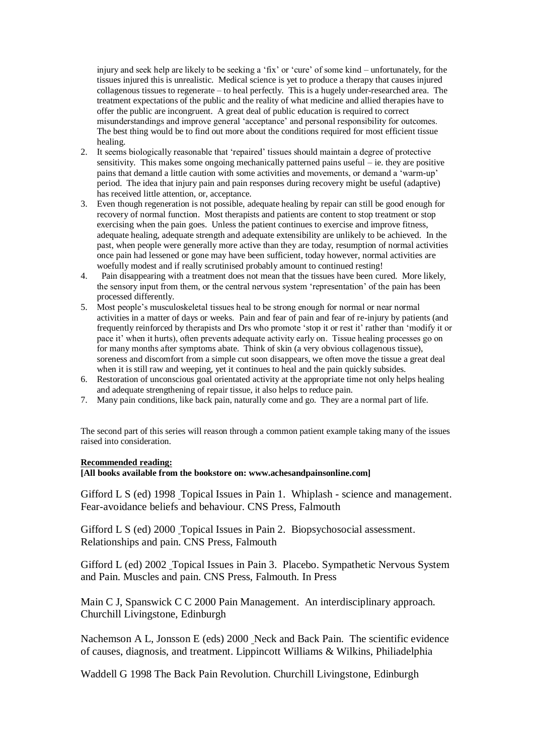injury and seek help are likely to be seeking a 'fix' or 'cure' of some kind – unfortunately, for the tissues injured this is unrealistic. Medical science is yet to produce a therapy that causes injured collagenous tissues to regenerate – to heal perfectly. This is a hugely under-researched area. The treatment expectations of the public and the reality of what medicine and allied therapies have to offer the public are incongruent. A great deal of public education is required to correct misunderstandings and improve general 'acceptance' and personal responsibility for outcomes. The best thing would be to find out more about the conditions required for most efficient tissue healing.

- 2. It seems biologically reasonable that 'repaired' tissues should maintain a degree of protective sensitivity. This makes some ongoing mechanically patterned pains useful – ie. they are positive pains that demand a little caution with some activities and movements, or demand a 'warm-up' period. The idea that injury pain and pain responses during recovery might be useful (adaptive) has received little attention, or, acceptance.
- 3. Even though regeneration is not possible, adequate healing by repair can still be good enough for recovery of normal function. Most therapists and patients are content to stop treatment or stop exercising when the pain goes. Unless the patient continues to exercise and improve fitness, adequate healing, adequate strength and adequate extensibility are unlikely to be achieved. In the past, when people were generally more active than they are today, resumption of normal activities once pain had lessened or gone may have been sufficient, today however, normal activities are woefully modest and if really scrutinised probably amount to continued resting!
- 4. Pain disappearing with a treatment does not mean that the tissues have been cured. More likely, the sensory input from them, or the central nervous system 'representation' of the pain has been processed differently.
- 5. Most people's musculoskeletal tissues heal to be strong enough for normal or near normal activities in a matter of days or weeks. Pain and fear of pain and fear of re-injury by patients (and frequently reinforced by therapists and Drs who promote 'stop it or rest it' rather than 'modify it or pace it' when it hurts), often prevents adequate activity early on. Tissue healing processes go on for many months after symptoms abate. Think of skin (a very obvious collagenous tissue), soreness and discomfort from a simple cut soon disappears, we often move the tissue a great deal when it is still raw and weeping, yet it continues to heal and the pain quickly subsides.
- 6. Restoration of unconscious goal orientated activity at the appropriate time not only helps healing and adequate strengthening of repair tissue, it also helps to reduce pain.
- 7. Many pain conditions, like back pain, naturally come and go. They are a normal part of life.

The second part of this series will reason through a common patient example taking many of the issues raised into consideration.

#### **Recommended reading:**

**[All books available from the bookstore on: www.achesandpainsonline.com]**

Gifford L S (ed) 1998 Topical Issues in Pain 1. Whiplash - science and management. Fear-avoidance beliefs and behaviour. CNS Press, Falmouth

Gifford L S (ed) 2000 Topical Issues in Pain 2. Biopsychosocial assessment. Relationships and pain. CNS Press, Falmouth

Gifford L (ed) 2002 Topical Issues in Pain 3. Placebo. Sympathetic Nervous System and Pain. Muscles and pain. CNS Press, Falmouth. In Press

Main C J, Spanswick C C 2000 Pain Management. An interdisciplinary approach. Churchill Livingstone, Edinburgh

Nachemson A L, Jonsson E (eds) 2000 Neck and Back Pain. The scientific evidence of causes, diagnosis, and treatment. Lippincott Williams & Wilkins, Philiadelphia

Waddell G 1998 The Back Pain Revolution. Churchill Livingstone, Edinburgh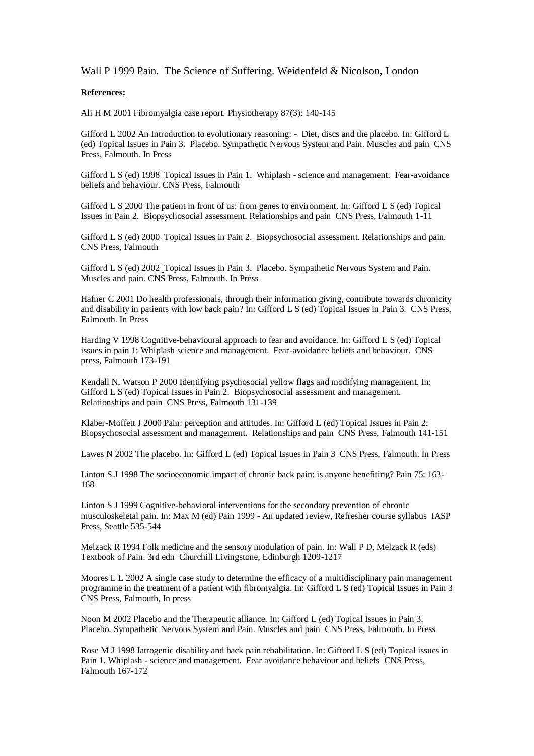### Wall P 1999 Pain. The Science of Suffering. Weidenfeld & Nicolson, London

## **References:**

Ali H M 2001 Fibromyalgia case report. Physiotherapy 87(3): 140-145

Gifford L 2002 An Introduction to evolutionary reasoning: - Diet, discs and the placebo. In: Gifford L (ed) Topical Issues in Pain 3. Placebo. Sympathetic Nervous System and Pain. Muscles and pain CNS Press, Falmouth. In Press

Gifford L S (ed) 1998 Topical Issues in Pain 1. Whiplash - science and management. Fear-avoidance beliefs and behaviour. CNS Press, Falmouth

Gifford L S 2000 The patient in front of us: from genes to environment. In: Gifford L S (ed) Topical Issues in Pain 2. Biopsychosocial assessment. Relationships and pain CNS Press, Falmouth 1-11

Gifford L S (ed) 2000 Topical Issues in Pain 2. Biopsychosocial assessment. Relationships and pain. CNS Press, Falmouth

Gifford L S (ed) 2002 Topical Issues in Pain 3. Placebo. Sympathetic Nervous System and Pain. Muscles and pain. CNS Press, Falmouth. In Press

Hafner C 2001 Do health professionals, through their information giving, contribute towards chronicity and disability in patients with low back pain? In: Gifford L S (ed) Topical Issues in Pain 3. CNS Press, Falmouth. In Press

Harding V 1998 Cognitive-behavioural approach to fear and avoidance. In: Gifford L S (ed) Topical issues in pain 1: Whiplash science and management. Fear-avoidance beliefs and behaviour. CNS press, Falmouth 173-191

Kendall N, Watson P 2000 Identifying psychosocial yellow flags and modifying management. In: Gifford L S (ed) Topical Issues in Pain 2. Biopsychosocial assessment and management. Relationships and pain CNS Press, Falmouth 131-139

Klaber-Moffett J 2000 Pain: perception and attitudes. In: Gifford L (ed) Topical Issues in Pain 2: Biopsychosocial assessment and management. Relationships and pain CNS Press, Falmouth 141-151

Lawes N 2002 The placebo. In: Gifford L (ed) Topical Issues in Pain 3 CNS Press, Falmouth. In Press

Linton S J 1998 The socioeconomic impact of chronic back pain: is anyone benefiting? Pain 75: 163- 168

Linton S J 1999 Cognitive-behavioral interventions for the secondary prevention of chronic musculoskeletal pain. In: Max M (ed) Pain 1999 - An updated review, Refresher course syllabus IASP Press, Seattle 535-544

Melzack R 1994 Folk medicine and the sensory modulation of pain. In: Wall P D, Melzack R (eds) Textbook of Pain. 3rd edn Churchill Livingstone, Edinburgh 1209-1217

Moores L L 2002 A single case study to determine the efficacy of a multidisciplinary pain management programme in the treatment of a patient with fibromyalgia. In: Gifford L S (ed) Topical Issues in Pain 3 CNS Press, Falmouth, In press

Noon M 2002 Placebo and the Therapeutic alliance. In: Gifford L (ed) Topical Issues in Pain 3. Placebo. Sympathetic Nervous System and Pain. Muscles and pain CNS Press, Falmouth. In Press

Rose M J 1998 Iatrogenic disability and back pain rehabilitation. In: Gifford L S (ed) Topical issues in Pain 1. Whiplash - science and management. Fear avoidance behaviour and beliefs CNS Press, Falmouth 167-172